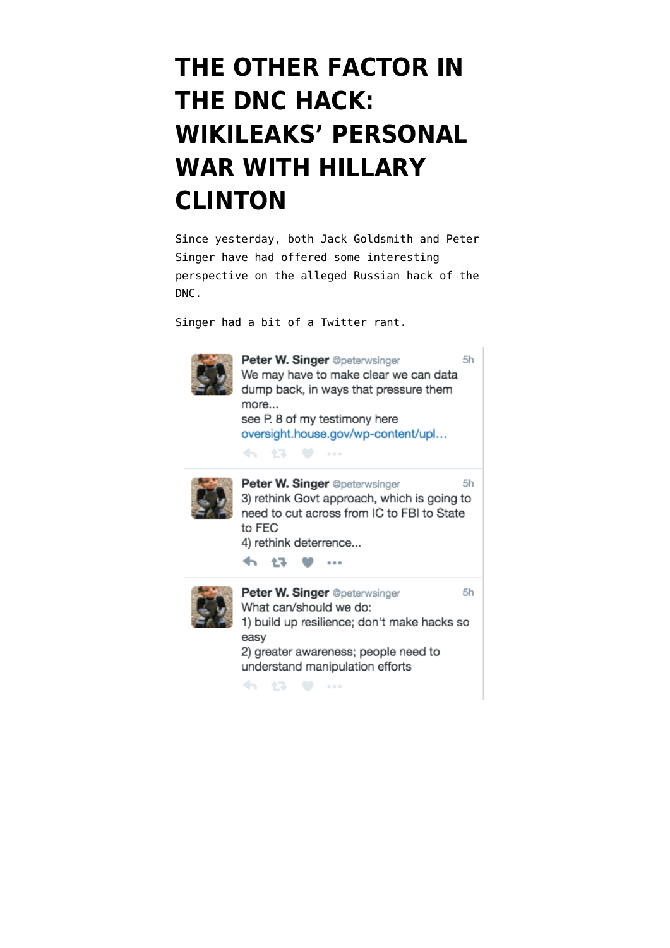## **[THE OTHER FACTOR IN](https://www.emptywheel.net/2016/07/26/the-other-factor/) [THE DNC HACK:](https://www.emptywheel.net/2016/07/26/the-other-factor/) [WIKILEAKS' PERSONAL](https://www.emptywheel.net/2016/07/26/the-other-factor/) [WAR WITH HILLARY](https://www.emptywheel.net/2016/07/26/the-other-factor/) [CLINTON](https://www.emptywheel.net/2016/07/26/the-other-factor/)**

Since yesterday, both Jack Goldsmith and Peter Singer have had offered some interesting perspective on the alleged Russian hack of the DNC.

Singer had a bit of a Twitter rant.



Peter W. Singer @peterwsinger  $5h$ We may have to make clear we can data dump back, in ways that pressure them more... see P. 8 of my testimony here oversight.house.gov/wp-content/upl... 45, 47, 48, 44, Peter W. Singer @peterwsinger 5h 3) rethink Govt approach, which is going to need to cut across from IC to FBI to State

to FEC

4) rethink deterrence...

45 43 W ...



Peter W. Singer @peterwsinger  $5h$ What can/should we do: 1) build up resilience; don't make hacks so easy 2) greater awareness; people need to understand manipulation efforts

4. 43 W ...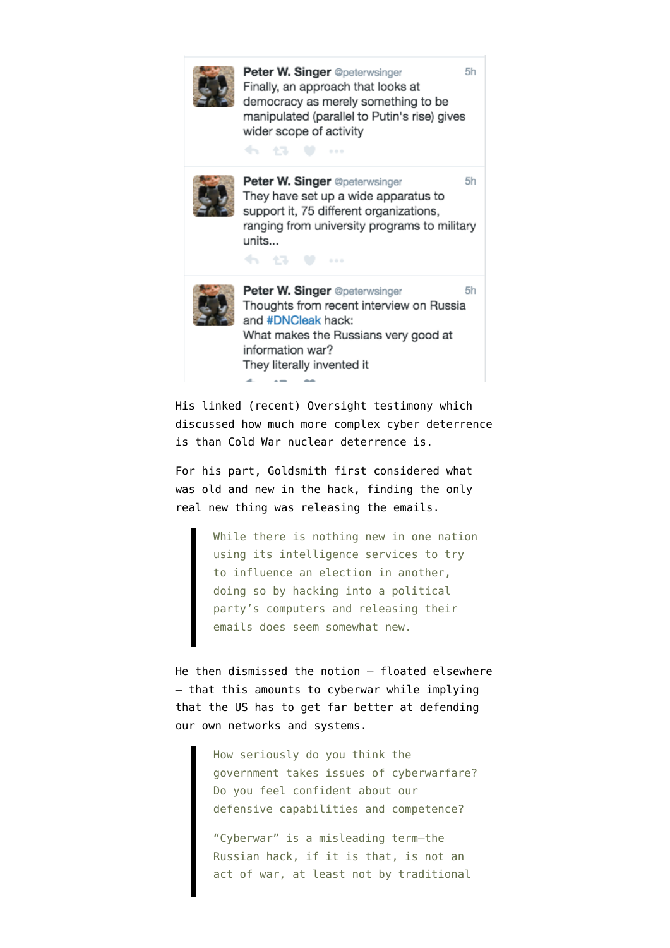

His linked (recent) [Oversight testimony](https://oversight.house.gov/wp-content/uploads/2016/07/Singer-Statement-Digital-Acts-of-War-7-13.pdf) which discussed how much more complex cyber deterrence is than Cold War nuclear deterrence is.

For his part, Goldsmith first [considered](https://lawfareblog.com/what-old-and-new-and-scary-russias-probable-dnc-hack) what was old and new in the hack, finding the only real new thing was releasing the emails.

> While there is nothing new in one nation using its intelligence services to try to influence an election in another, doing so by hacking into a political party's computers and releasing their emails does seem somewhat new.

He then [dismissed](http://www.slate.com/articles/news_and_politics/interrogation/2016/07/is_the_dnc_hack_an_act_of_war_and_is_russia_responsible.html) the notion — floated elsewhere — that this amounts to cyberwar while implying that the US has to get far better at defending our own networks and systems.

> How seriously do you think the government takes issues of cyberwarfare? Do you feel confident about our defensive capabilities and competence?

"Cyberwar" is a misleading term—the Russian hack, if it is that, is not an act of war, at least not by traditional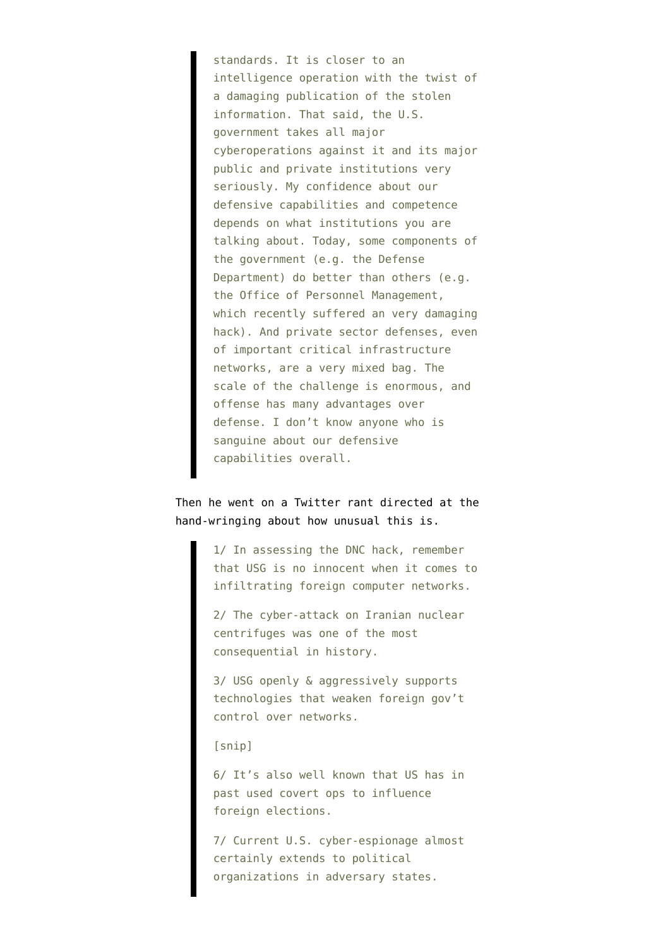standards. It is closer to an intelligence operation with the twist of a damaging publication of the stolen information. That said, the U.S. government takes all major cyberoperations against it and its major public and private institutions very seriously. My confidence about our defensive capabilities and competence depends on what institutions you are talking about. Today, some components of the government (e.g. the Defense Department) do better than others (e.g. the Office of Personnel Management, which recently suffered an very damaging hack). And private sector defenses, even of important critical infrastructure networks, are a very mixed bag. The scale of the challenge is enormous, and offense has many advantages over defense. I don't know anyone who is sanguine about our defensive capabilities overall.

## Then he went on a [Twitter rant](https://t.co/53wAr8dUid) directed at the hand-wringing about how unusual this is.

1/ In assessing the DNC hack, remember that USG is no innocent when it comes to infiltrating foreign computer networks.

2/ The cyber-attack on Iranian nuclear centrifuges was one of the most consequential in history.

3/ USG openly & aggressively supports technologies that weaken foreign gov't control over networks.

[snip]

6/ It's also well known that US has in past used covert ops to influence foreign elections.

7/ Current U.S. cyber-espionage almost certainly extends to political organizations in adversary states.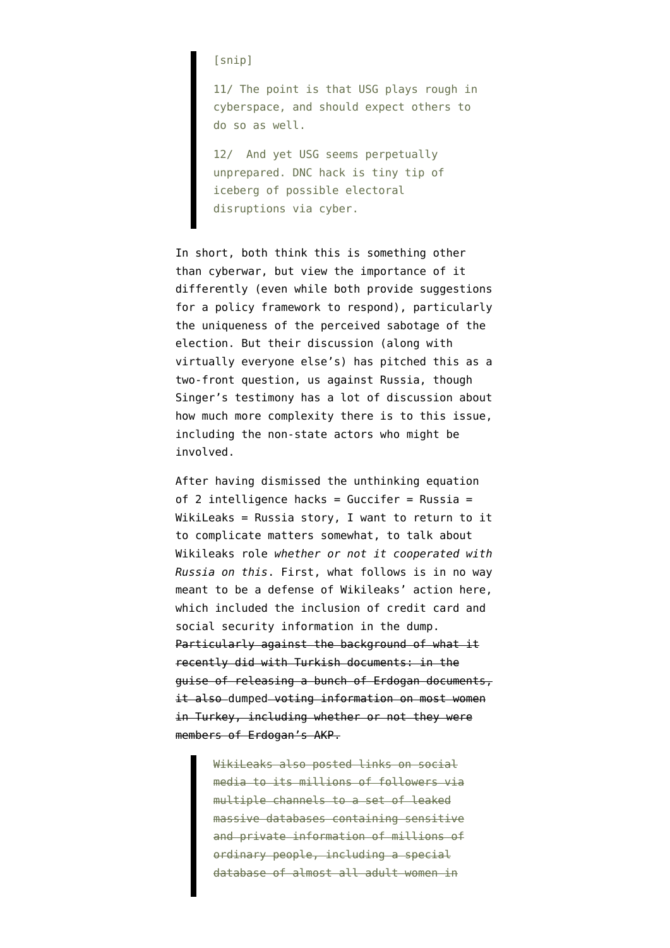[snip]

11/ The point is that USG plays rough in cyberspace, and should expect others to do so as well.

12/ And yet USG seems perpetually unprepared. DNC hack is tiny tip of iceberg of possible electoral disruptions via cyber.

In short, both think this is something other than cyberwar, but view the importance of it differently (even while both provide suggestions for a policy framework to respond), particularly the uniqueness of the perceived sabotage of the election. But their discussion (along with virtually everyone else's) has pitched this as a two-front question, us against Russia, though Singer's testimony has a lot of discussion about how much more complexity there is to this issue, including the non-state actors who might be involved.

After having dismissed the unthinking equation of 2 intelligence hacks =  $Guccifer = Russia =$ [WikiLeaks = Russia story,](https://www.emptywheel.net/2016/07/25/the-two-intelligence-agency-theory-of-handing-trump-the-election/) I want to return to it to complicate matters somewhat, to talk about Wikileaks role *whether or not it cooperated with Russia on this*. First, what follows is in no way meant to be a defense of Wikileaks' action here, which included the inclusion of credit card and social security information in the dump. Particularly against the background of what it recently did with Turkish documents: in the guise of releasing a bunch of Erdogan documents, it also [dumped](http://www.huffingtonpost.com/zeynep-tufekci/wikileaks-erdogan-emails_b_11158792.html) voting information on most women in Turkey, including whether or not they were members of Erdogan's AKP.

> WikiLeaks also posted links on social media to its millions of followers via multiple channels to a set of leaked massive databases containing sensitive and private information of millions of ordinary people, including a special database of almost all adult women in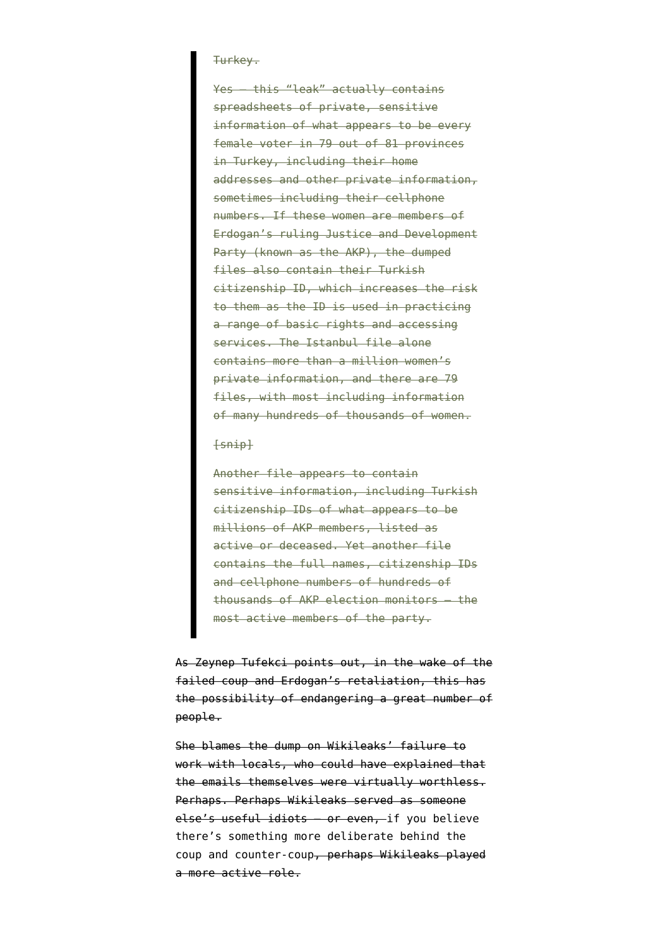## Turkey.

Yes — this "leak" actually contains spreadsheets of private, sensitive information of what appears to be every female voter in 79 out of 81 provinces in Turkey, including their home addresses and other private information, sometimes including their cellphone numbers. If these women are members of Erdogan's ruling Justice and Development Party (known as the AKP), the dumped files also contain their Turkish citizenship ID, which increases the risk to them as the ID is used in practicing a range of basic rights and accessing services. The Istanbul file alone contains more than a million women's private information, and there are 79 files, with most including information of many hundreds of thousands of women.

## $[snip]$

Another file appears to contain sensitive information, including Turkish citizenship IDs of what appears to be millions of AKP members, listed as active or deceased. Yet another file contains the full names, citizenship IDs and cellphone numbers of hundreds of thousands of AKP election monitors — the most active members of the party.

As Zeynep Tufekci points out, in the wake of the failed coup and Erdogan's retaliation, this has the possibility of endangering a great number of people.

She blames the dump on Wikileaks' failure to work with locals, who could have explained that the emails themselves were virtually worthless. Perhaps. Perhaps Wikileaks served as someone else's useful idiots — or even, [if you believe](http://www.moonofalabama.org/2016/07/turkeys-foreign-policy-change-is-well-underway.html#more) [there's something more deliberate behind the](http://www.moonofalabama.org/2016/07/turkeys-foreign-policy-change-is-well-underway.html#more) [coup and counter-coup](http://www.moonofalabama.org/2016/07/turkeys-foreign-policy-change-is-well-underway.html#more), perhaps Wikileaks played a more active role.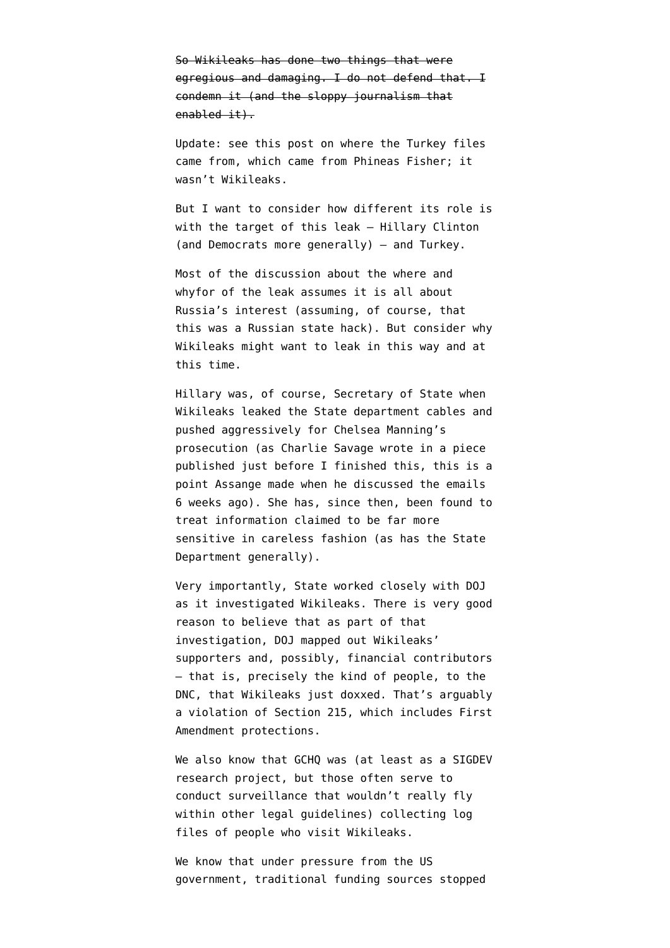So Wikileaks has done two things that were egregious and damaging. I do not defend that. I condemn it (and the sloppy journalism that enabled it).

Update: [see this post](https://glomardisclosure.com/2016/07/26/the-who-and-how-of-the-akp-hack-dump-and-wikileaks-release/) on where the Turkey files came from, which came from Phineas Fisher; it wasn't Wikileaks.

But I want to consider how different its role is with the target of this leak — Hillary Clinton (and Democrats more generally) — and Turkey.

Most of the discussion about the where and whyfor of the leak assumes it is all about Russia's interest (assuming, of course, that this was a Russian state hack). But consider why Wikileaks might want to leak in this way and at this time.

Hillary was, of course, Secretary of State when Wikileaks leaked the State department cables and pushed aggressively for Chelsea Manning's prosecution (as Charlie Savage [wrote in a piece](http://www.nytimes.com/2016/07/27/us/politics/assange-timed-wikileaks-release-of-democratic-emails-to-harm-hillary-clinton.html?mtrref=t.co) published just before I finished this, this is a point Assange made when he discussed the emails 6 weeks ago). She has, since then, been found to treat information claimed to be far more sensitive in careless fashion (as has the State Department generally).

Very importantly, State worked closely with DOJ as it investigated Wikileaks. There is [very good](https://www.emptywheel.net/2015/03/05/fbi-is-not-surveilling-wikileaks-supporters-in-its-never-ending-investigation-is-it-collecting/) [reason](https://www.emptywheel.net/2015/03/05/fbi-is-not-surveilling-wikileaks-supporters-in-its-never-ending-investigation-is-it-collecting/) to believe that as part of that investigation, DOJ mapped out Wikileaks' supporters and, possibly, [financial contributors](https://www.emptywheel.net/2014/04/17/is-this-the-missing-wikileaks-paypal-order/) — that is, precisely the kind of people, to the DNC, that Wikileaks just doxxed. That's arguably a violation of Section 215, which includes First Amendment protections.

We also know that GCHQ was (at least as a SIGDEV research project, but those often serve to conduct surveillance that wouldn't really fly within other legal guidelines) [collecting](https://theintercept.com/2014/02/18/snowden-docs-reveal-covert-surveillance-and-pressure-tactics-aimed-at-wikileaks-and-its-supporters/) log files of people who visit Wikileaks.

We know that under pressure from the US government, traditional funding sources stopped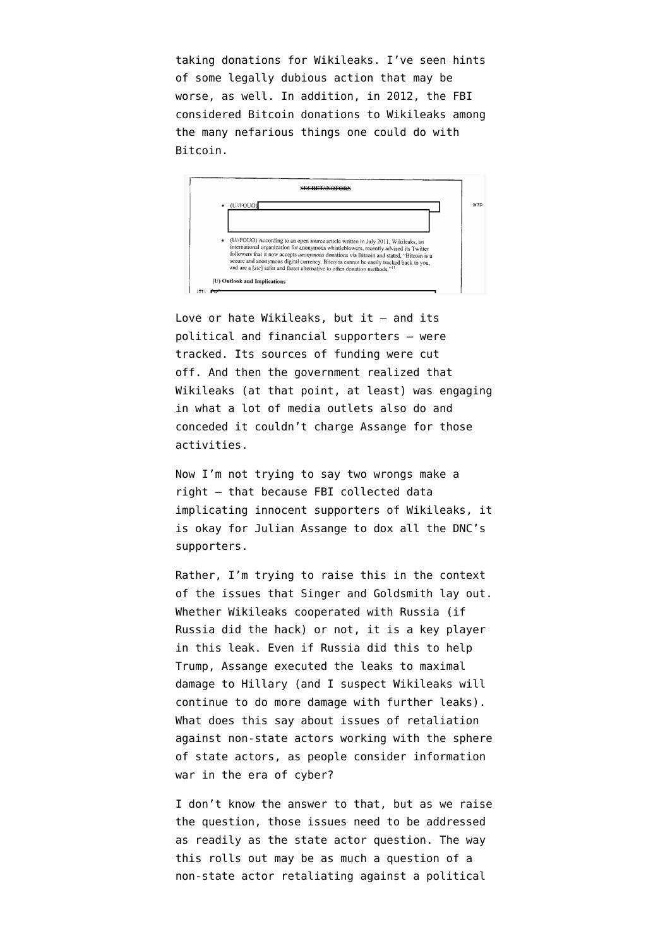taking donations for Wikileaks. I've seen hints of some legally dubious action that may be worse, as well. In addition, in 2012, the FBI [considered](https://www.muckrock.com/news/archives/2015/jan/08/bitcoin-potential-tool-terrorists-fbi-warns-2012-r/) Bitcoin donations to Wikileaks among the many nefarious things one could do with Bitcoin.



Love or hate Wikileaks, but it — and its political and financial supporters — were tracked. Its sources of funding were cut off. And then the government realized that Wikileaks (at that point, at least) was engaging in what a lot of media outlets also do and conceded it couldn't charge Assange for those activities.

Now I'm not trying to say two wrongs make a right — that because FBI collected data implicating innocent supporters of Wikileaks, it is okay for Julian Assange to dox all the DNC's supporters.

Rather, I'm trying to raise this in the context of the issues that Singer and Goldsmith lay out. Whether Wikileaks cooperated with Russia (if Russia did the hack) or not, it is a key player in this leak. Even if Russia did this to help Trump, Assange executed the leaks to maximal damage to Hillary (and I suspect Wikileaks will continue to do more damage with further leaks). What does this say about issues of retaliation against non-state actors working with the sphere of state actors, as people consider information war in the era of cyber?

I don't know the answer to that, but as we raise the question, those issues need to be addressed as readily as the state actor question. The way this rolls out may be as much a question of a non-state actor retaliating against a political